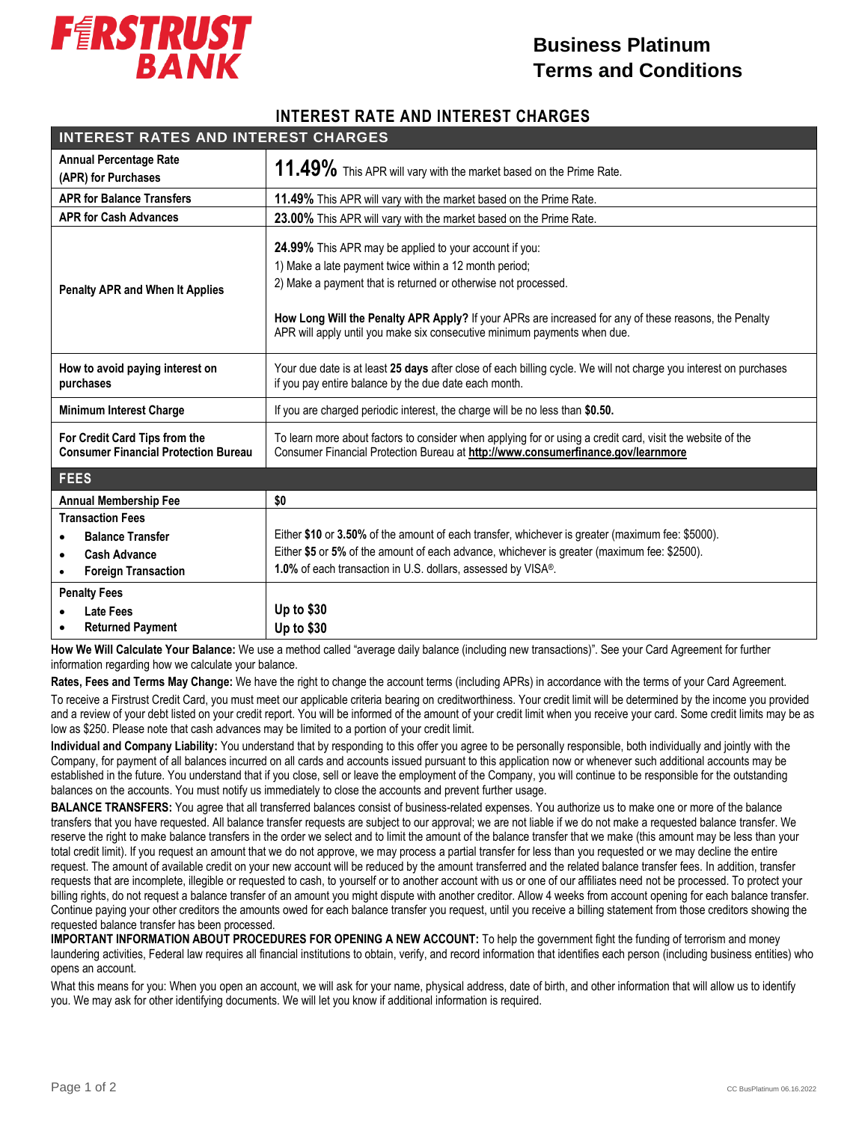

## **Business Platinum Terms and Conditions**

## **INTEREST RATE AND INTEREST CHARGES**

| <b>INTEREST RATES AND INTEREST CHARGES</b>                                                                                        |                                                                                                                                                                                                                                                                                                                                                                         |
|-----------------------------------------------------------------------------------------------------------------------------------|-------------------------------------------------------------------------------------------------------------------------------------------------------------------------------------------------------------------------------------------------------------------------------------------------------------------------------------------------------------------------|
| <b>Annual Percentage Rate</b><br>(APR) for Purchases                                                                              | 11.49% This APR will vary with the market based on the Prime Rate.                                                                                                                                                                                                                                                                                                      |
| <b>APR for Balance Transfers</b>                                                                                                  | 11.49% This APR will vary with the market based on the Prime Rate.                                                                                                                                                                                                                                                                                                      |
| <b>APR for Cash Advances</b>                                                                                                      | 23.00% This APR will vary with the market based on the Prime Rate.                                                                                                                                                                                                                                                                                                      |
| <b>Penalty APR and When It Applies</b>                                                                                            | 24.99% This APR may be applied to your account if you:<br>1) Make a late payment twice within a 12 month period;<br>2) Make a payment that is returned or otherwise not processed.<br>How Long Will the Penalty APR Apply? If your APRs are increased for any of these reasons, the Penalty<br>APR will apply until you make six consecutive minimum payments when due. |
| How to avoid paying interest on<br>purchases                                                                                      | Your due date is at least 25 days after close of each billing cycle. We will not charge you interest on purchases<br>if you pay entire balance by the due date each month.                                                                                                                                                                                              |
| <b>Minimum Interest Charge</b>                                                                                                    | If you are charged periodic interest, the charge will be no less than \$0.50.                                                                                                                                                                                                                                                                                           |
| For Credit Card Tips from the<br><b>Consumer Financial Protection Bureau</b>                                                      | To learn more about factors to consider when applying for or using a credit card, visit the website of the<br>Consumer Financial Protection Bureau at http://www.consumerfinance.gov/learnmore                                                                                                                                                                          |
| <b>FEES</b>                                                                                                                       |                                                                                                                                                                                                                                                                                                                                                                         |
| <b>Annual Membership Fee</b>                                                                                                      | \$0                                                                                                                                                                                                                                                                                                                                                                     |
| <b>Transaction Fees</b><br><b>Balance Transfer</b><br><b>Cash Advance</b><br>$\bullet$<br><b>Foreign Transaction</b><br>$\bullet$ | Either \$10 or 3.50% of the amount of each transfer, whichever is greater (maximum fee: \$5000).<br>Either \$5 or 5% of the amount of each advance, whichever is greater (maximum fee: \$2500).<br>1.0% of each transaction in U.S. dollars, assessed by VISA®.                                                                                                         |
| <b>Penalty Fees</b><br><b>Late Fees</b><br><b>Returned Payment</b>                                                                | Up to \$30<br>Up to \$30                                                                                                                                                                                                                                                                                                                                                |

 **How We Will Calculate Your Balance:** We use a method called "average daily balance (including new transactions)". See your Card Agreement for further information regarding how we calculate your balance.

**Rates, Fees and Terms May Change:** We have the right to change the account terms (including APRs) in accordance with the terms of your Card Agreement.

To receive a Firstrust Credit Card, you must meet our applicable criteria bearing on creditworthiness. Your credit limit will be determined by the income you provided and a review of your debt listed on your credit report. You will be informed of the amount of your credit limit when you receive your card. Some credit limits may be as low as \$250. Please note that cash advances may be limited to a portion of your credit limit.

**Individual and Company Liability:** You understand that by responding to this offer you agree to be personally responsible, both individually and jointly with the Company, for payment of all balances incurred on all cards and accounts issued pursuant to this application now or whenever such additional accounts may be established in the future. You understand that if you close, sell or leave the employment of the Company, you will continue to be responsible for the outstanding balances on the accounts. You must notify us immediately to close the accounts and prevent further usage.

**BALANCE TRANSFERS:** You agree that all transferred balances consist of business-related expenses. You authorize us to make one or more of the balance transfers that you have requested. All balance transfer requests are subject to our approval; we are not liable if we do not make a requested balance transfer. We reserve the right to make balance transfers in the order we select and to limit the amount of the balance transfer that we make (this amount may be less than your total credit limit). If you request an amount that we do not approve, we may process a partial transfer for less than you requested or we may decline the entire request. The amount of available credit on your new account will be reduced by the amount transferred and the related balance transfer fees. In addition, transfer requests that are incomplete, illegible or requested to cash, to yourself or to another account with us or one of our affiliates need not be processed. To protect your billing rights, do not request a balance transfer of an amount you might dispute with another creditor. Allow 4 weeks from account opening for each balance transfer. Continue paying your other creditors the amounts owed for each balance transfer you request, until you receive a billing statement from those creditors showing the requested balance transfer has been processed.

**IMPORTANT INFORMATION ABOUT PROCEDURES FOR OPENING A NEW ACCOUNT:** To help the government fight the funding of terrorism and money laundering activities, Federal law requires all financial institutions to obtain, verify, and record information that identifies each person (including business entities) who opens an account.

What this means for you: When you open an account, we will ask for your name, physical address, date of birth, and other information that will allow us to identify you. We may ask for other identifying documents. We will let you know if additional information is required.